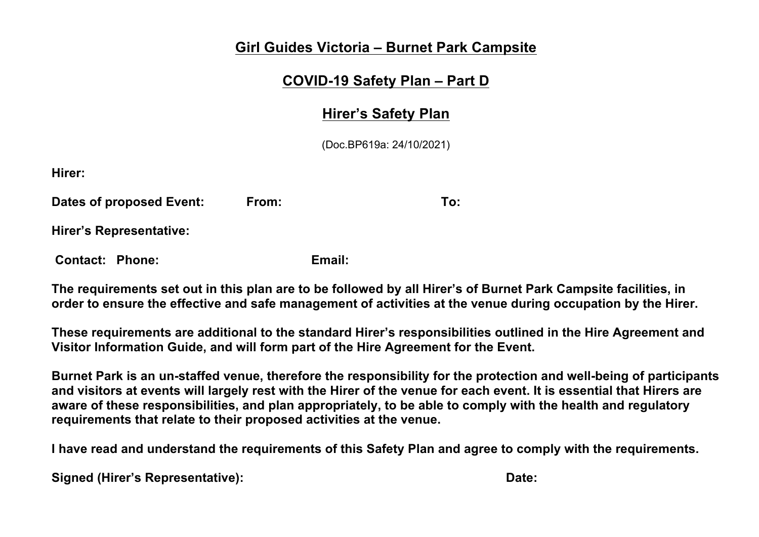## **Girl Guides Victoria – Burnet Park Campsite**

## **COVID-19 Safety Plan – Part D**

## **Hirer's Safety Plan**

(Doc.BP619a: 24/10/2021)

| Hirer:                         |        |     |
|--------------------------------|--------|-----|
| Dates of proposed Event:       | From:  | To: |
| <b>Hirer's Representative:</b> |        |     |
| Contact: Phone:                | Email: |     |

**The requirements set out in this plan are to be followed by all Hirer's of Burnet Park Campsite facilities, in order to ensure the effective and safe management of activities at the venue during occupation by the Hirer.**

**These requirements are additional to the standard Hirer's responsibilities outlined in the Hire Agreement and Visitor Information Guide, and will form part of the Hire Agreement for the Event.**

**Burnet Park is an un-staffed venue, therefore the responsibility for the protection and well-being of participants and visitors at events will largely rest with the Hirer of the venue for each event. It is essential that Hirers are aware of these responsibilities, and plan appropriately, to be able to comply with the health and regulatory requirements that relate to their proposed activities at the venue.**

**I have read and understand the requirements of this Safety Plan and agree to comply with the requirements.**

**Signed (Hirer's Representative): Date:**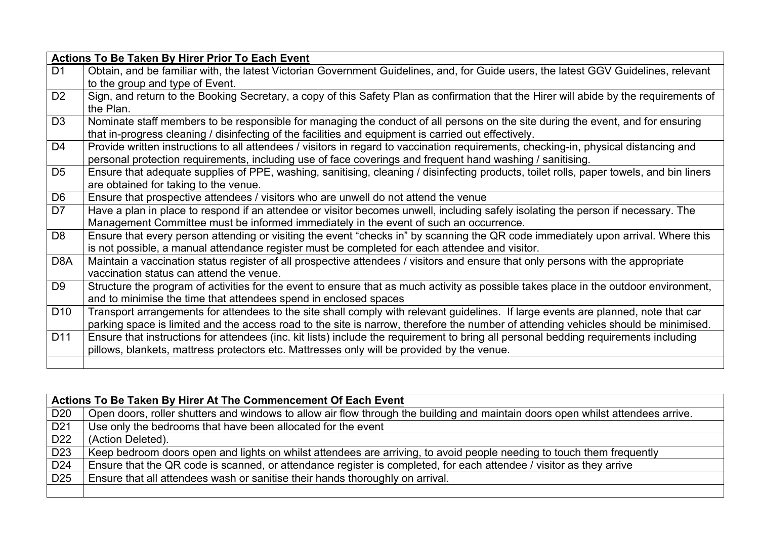| Actions To Be Taken By Hirer Prior To Each Event |                                                                                                                                         |  |
|--------------------------------------------------|-----------------------------------------------------------------------------------------------------------------------------------------|--|
| D <sub>1</sub>                                   | Obtain, and be familiar with, the latest Victorian Government Guidelines, and, for Guide users, the latest GGV Guidelines, relevant     |  |
|                                                  | to the group and type of Event.                                                                                                         |  |
| D <sub>2</sub>                                   | Sign, and return to the Booking Secretary, a copy of this Safety Plan as confirmation that the Hirer will abide by the requirements of  |  |
|                                                  | the Plan.                                                                                                                               |  |
| D <sub>3</sub>                                   | Nominate staff members to be responsible for managing the conduct of all persons on the site during the event, and for ensuring         |  |
|                                                  | that in-progress cleaning / disinfecting of the facilities and equipment is carried out effectively.                                    |  |
| D <sub>4</sub>                                   | Provide written instructions to all attendees / visitors in regard to vaccination requirements, checking-in, physical distancing and    |  |
|                                                  | personal protection requirements, including use of face coverings and frequent hand washing / sanitising.                               |  |
| D <sub>5</sub>                                   | Ensure that adequate supplies of PPE, washing, sanitising, cleaning / disinfecting products, toilet rolls, paper towels, and bin liners |  |
|                                                  | are obtained for taking to the venue.                                                                                                   |  |
| D <sub>6</sub>                                   | Ensure that prospective attendees / visitors who are unwell do not attend the venue                                                     |  |
| D <sub>7</sub>                                   | Have a plan in place to respond if an attendee or visitor becomes unwell, including safely isolating the person if necessary. The       |  |
|                                                  | Management Committee must be informed immediately in the event of such an occurrence.                                                   |  |
| D <sub>8</sub>                                   | Ensure that every person attending or visiting the event "checks in" by scanning the QR code immediately upon arrival. Where this       |  |
|                                                  | is not possible, a manual attendance register must be completed for each attendee and visitor.                                          |  |
| D <sub>8</sub> A                                 | Maintain a vaccination status register of all prospective attendees / visitors and ensure that only persons with the appropriate        |  |
|                                                  | vaccination status can attend the venue.                                                                                                |  |
| D <sub>9</sub>                                   | Structure the program of activities for the event to ensure that as much activity as possible takes place in the outdoor environment,   |  |
|                                                  | and to minimise the time that attendees spend in enclosed spaces                                                                        |  |
| D <sub>10</sub>                                  | Transport arrangements for attendees to the site shall comply with relevant guidelines. If large events are planned, note that car      |  |
|                                                  | parking space is limited and the access road to the site is narrow, therefore the number of attending vehicles should be minimised.     |  |
| D <sub>11</sub>                                  | Ensure that instructions for attendees (inc. kit lists) include the requirement to bring all personal bedding requirements including    |  |
|                                                  | pillows, blankets, mattress protectors etc. Mattresses only will be provided by the venue.                                              |  |
|                                                  |                                                                                                                                         |  |

| Actions To Be Taken By Hirer At The Commencement Of Each Event |                                                                                                                                 |  |
|----------------------------------------------------------------|---------------------------------------------------------------------------------------------------------------------------------|--|
| D20                                                            | Open doors, roller shutters and windows to allow air flow through the building and maintain doors open whilst attendees arrive. |  |
| $\overline{D}21$                                               | Use only the bedrooms that have been allocated for the event                                                                    |  |
| D22                                                            | (Action Deleted).                                                                                                               |  |
| D23                                                            | Keep bedroom doors open and lights on whilst attendees are arriving, to avoid people needing to touch them frequently           |  |
| D24                                                            | Ensure that the QR code is scanned, or attendance register is completed, for each attendee / visitor as they arrive             |  |
| D25                                                            | Ensure that all attendees wash or sanitise their hands thoroughly on arrival.                                                   |  |
|                                                                |                                                                                                                                 |  |